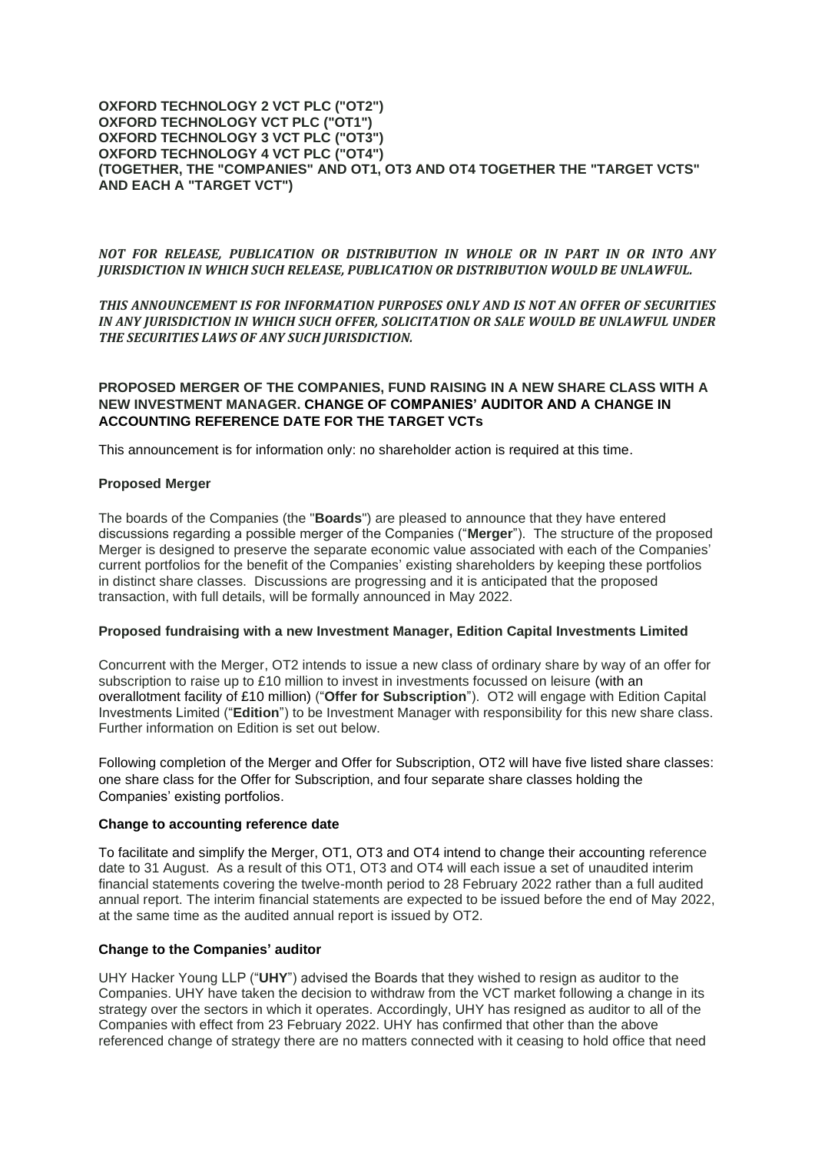#### **OXFORD TECHNOLOGY 2 VCT PLC ("OT2") OXFORD TECHNOLOGY VCT PLC ("OT1") OXFORD TECHNOLOGY 3 VCT PLC ("OT3") OXFORD TECHNOLOGY 4 VCT PLC ("OT4") (TOGETHER, THE "COMPANIES" AND OT1, OT3 AND OT4 TOGETHER THE "TARGET VCTS" AND EACH A "TARGET VCT")**

## *NOT FOR RELEASE, PUBLICATION OR DISTRIBUTION IN WHOLE OR IN PART IN OR INTO ANY JURISDICTION IN WHICH SUCH RELEASE, PUBLICATION OR DISTRIBUTION WOULD BE UNLAWFUL.*

*THIS ANNOUNCEMENT IS FOR INFORMATION PURPOSES ONLY AND IS NOT AN OFFER OF SECURITIES IN ANY JURISDICTION IN WHICH SUCH OFFER, SOLICITATION OR SALE WOULD BE UNLAWFUL UNDER THE SECURITIES LAWS OF ANY SUCH JURISDICTION.*

# **PROPOSED MERGER OF THE COMPANIES, FUND RAISING IN A NEW SHARE CLASS WITH A NEW INVESTMENT MANAGER. CHANGE OF COMPANIES' AUDITOR AND A CHANGE IN ACCOUNTING REFERENCE DATE FOR THE TARGET VCTs**

This announcement is for information only: no shareholder action is required at this time.

### **Proposed Merger**

The boards of the Companies (the "**Boards**") are pleased to announce that they have entered discussions regarding a possible merger of the Companies ("**Merger**"). The structure of the proposed Merger is designed to preserve the separate economic value associated with each of the Companies' current portfolios for the benefit of the Companies' existing shareholders by keeping these portfolios in distinct share classes. Discussions are progressing and it is anticipated that the proposed transaction, with full details, will be formally announced in May 2022.

### **Proposed fundraising with a new Investment Manager, Edition Capital Investments Limited**

Concurrent with the Merger, OT2 intends to issue a new class of ordinary share by way of an offer for subscription to raise up to £10 million to invest in investments focussed on leisure (with an overallotment facility of £10 million) ("**Offer for Subscription**"). OT2 will engage with Edition Capital Investments Limited ("**Edition**") to be Investment Manager with responsibility for this new share class. Further information on Edition is set out below.

Following completion of the Merger and Offer for Subscription, OT2 will have five listed share classes: one share class for the Offer for Subscription, and four separate share classes holding the Companies' existing portfolios.

### **Change to accounting reference date**

To facilitate and simplify the Merger, OT1, OT3 and OT4 intend to change their accounting reference date to 31 August. As a result of this OT1, OT3 and OT4 will each issue a set of unaudited interim financial statements covering the twelve-month period to 28 February 2022 rather than a full audited annual report. The interim financial statements are expected to be issued before the end of May 2022, at the same time as the audited annual report is issued by OT2.

# **Change to the Companies' auditor**

UHY Hacker Young LLP ("**UHY**") advised the Boards that they wished to resign as auditor to the Companies. UHY have taken the decision to withdraw from the VCT market following a change in its strategy over the sectors in which it operates. Accordingly, UHY has resigned as auditor to all of the Companies with effect from 23 February 2022. UHY has confirmed that other than the above referenced change of strategy there are no matters connected with it ceasing to hold office that need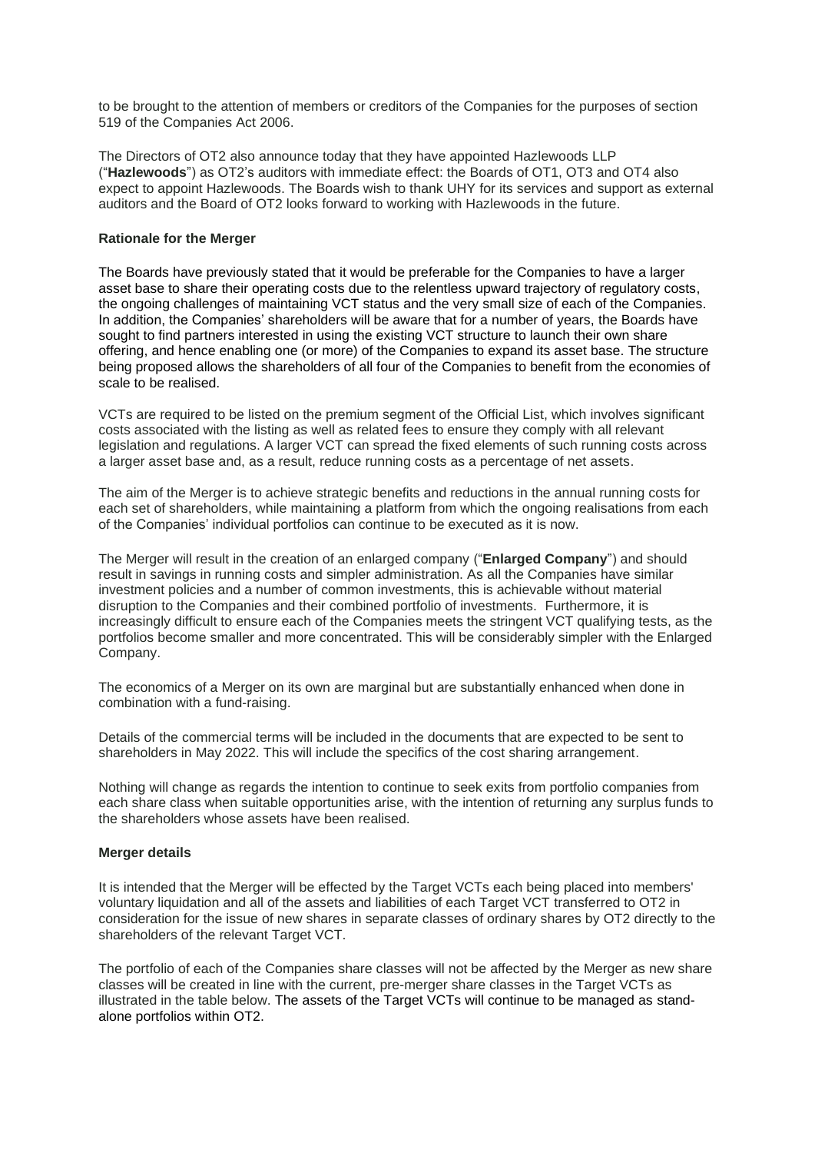to be brought to the attention of members or creditors of the Companies for the purposes of section 519 of the Companies Act 2006.

The Directors of OT2 also announce today that they have appointed Hazlewoods LLP ("**Hazlewoods**") as OT2's auditors with immediate effect: the Boards of OT1, OT3 and OT4 also expect to appoint Hazlewoods. The Boards wish to thank UHY for its services and support as external auditors and the Board of OT2 looks forward to working with Hazlewoods in the future.

### **Rationale for the Merger**

The Boards have previously stated that it would be preferable for the Companies to have a larger asset base to share their operating costs due to the relentless upward trajectory of regulatory costs, the ongoing challenges of maintaining VCT status and the very small size of each of the Companies. In addition, the Companies' shareholders will be aware that for a number of years, the Boards have sought to find partners interested in using the existing VCT structure to launch their own share offering, and hence enabling one (or more) of the Companies to expand its asset base. The structure being proposed allows the shareholders of all four of the Companies to benefit from the economies of scale to be realised.

VCTs are required to be listed on the premium segment of the Official List, which involves significant costs associated with the listing as well as related fees to ensure they comply with all relevant legislation and regulations. A larger VCT can spread the fixed elements of such running costs across a larger asset base and, as a result, reduce running costs as a percentage of net assets.

The aim of the Merger is to achieve strategic benefits and reductions in the annual running costs for each set of shareholders, while maintaining a platform from which the ongoing realisations from each of the Companies' individual portfolios can continue to be executed as it is now.

The Merger will result in the creation of an enlarged company ("**Enlarged Company**") and should result in savings in running costs and simpler administration. As all the Companies have similar investment policies and a number of common investments, this is achievable without material disruption to the Companies and their combined portfolio of investments. Furthermore, it is increasingly difficult to ensure each of the Companies meets the stringent VCT qualifying tests, as the portfolios become smaller and more concentrated. This will be considerably simpler with the Enlarged Company.

The economics of a Merger on its own are marginal but are substantially enhanced when done in combination with a fund-raising.

Details of the commercial terms will be included in the documents that are expected to be sent to shareholders in May 2022. This will include the specifics of the cost sharing arrangement.

Nothing will change as regards the intention to continue to seek exits from portfolio companies from each share class when suitable opportunities arise, with the intention of returning any surplus funds to the shareholders whose assets have been realised.

### **Merger details**

It is intended that the Merger will be effected by the Target VCTs each being placed into members' voluntary liquidation and all of the assets and liabilities of each Target VCT transferred to OT2 in consideration for the issue of new shares in separate classes of ordinary shares by OT2 directly to the shareholders of the relevant Target VCT.

The portfolio of each of the Companies share classes will not be affected by the Merger as new share classes will be created in line with the current, pre-merger share classes in the Target VCTs as illustrated in the table below. The assets of the Target VCTs will continue to be managed as standalone portfolios within OT2.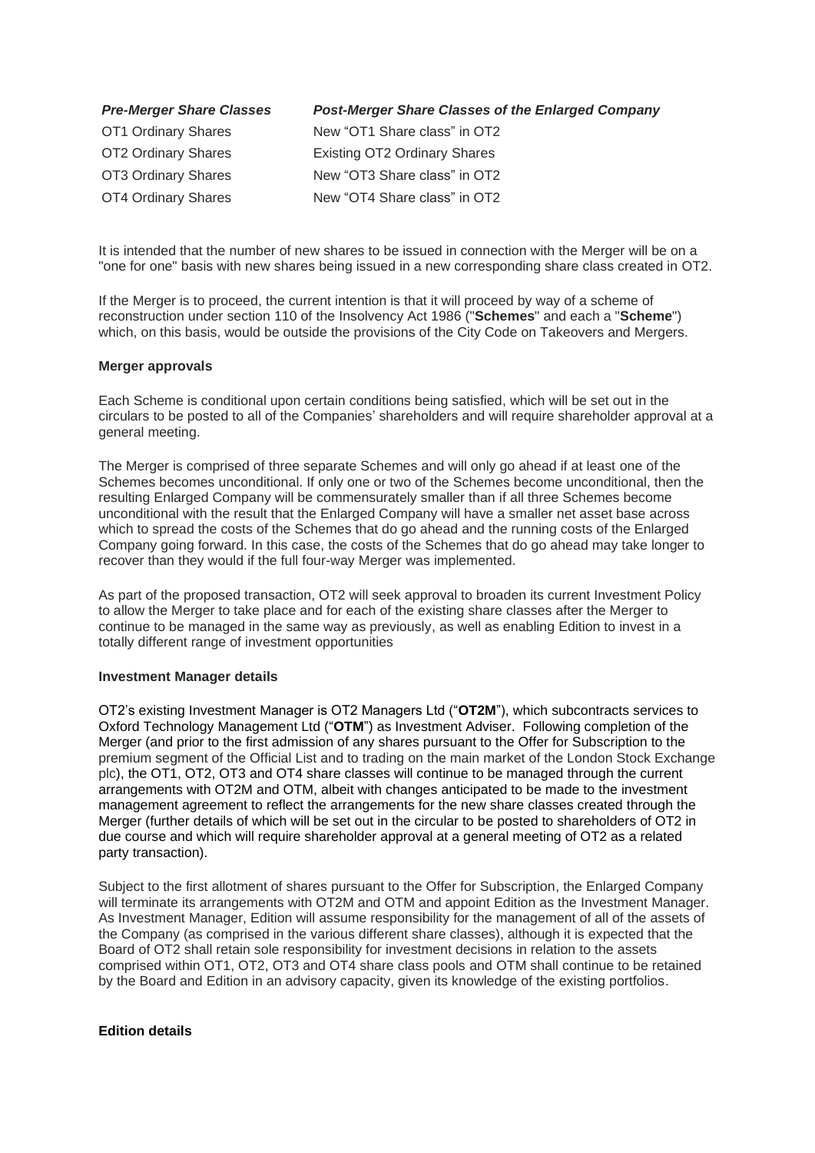| <b>Pre-Merger Share Classes</b> | <b>Post-Merger Share Classes of the Enlarged Company</b> |
|---------------------------------|----------------------------------------------------------|
| OT1 Ordinary Shares             | New "OT1 Share class" in OT2                             |
| OT2 Ordinary Shares             | <b>Existing OT2 Ordinary Shares</b>                      |
| OT3 Ordinary Shares             | New "OT3 Share class" in OT2                             |
| OT4 Ordinary Shares             | New "OT4 Share class" in OT2                             |

It is intended that the number of new shares to be issued in connection with the Merger will be on a "one for one" basis with new shares being issued in a new corresponding share class created in OT2.

If the Merger is to proceed, the current intention is that it will proceed by way of a scheme of reconstruction under section 110 of the Insolvency Act 1986 ("**Schemes**" and each a "**Scheme**") which, on this basis, would be outside the provisions of the City Code on Takeovers and Mergers.

#### **Merger approvals**

Each Scheme is conditional upon certain conditions being satisfied, which will be set out in the circulars to be posted to all of the Companies' shareholders and will require shareholder approval at a general meeting.

The Merger is comprised of three separate Schemes and will only go ahead if at least one of the Schemes becomes unconditional. If only one or two of the Schemes become unconditional, then the resulting Enlarged Company will be commensurately smaller than if all three Schemes become unconditional with the result that the Enlarged Company will have a smaller net asset base across which to spread the costs of the Schemes that do go ahead and the running costs of the Enlarged Company going forward. In this case, the costs of the Schemes that do go ahead may take longer to recover than they would if the full four-way Merger was implemented.

As part of the proposed transaction, OT2 will seek approval to broaden its current Investment Policy to allow the Merger to take place and for each of the existing share classes after the Merger to continue to be managed in the same way as previously, as well as enabling Edition to invest in a totally different range of investment opportunities

#### **Investment Manager details**

OT2's existing Investment Manager is OT2 Managers Ltd ("**OT2M**"), which subcontracts services to Oxford Technology Management Ltd ("**OTM**") as Investment Adviser. Following completion of the Merger (and prior to the first admission of any shares pursuant to the Offer for Subscription to the premium segment of the Official List and to trading on the main market of the London Stock Exchange plc), the OT1, OT2, OT3 and OT4 share classes will continue to be managed through the current arrangements with OT2M and OTM, albeit with changes anticipated to be made to the investment management agreement to reflect the arrangements for the new share classes created through the Merger (further details of which will be set out in the circular to be posted to shareholders of OT2 in due course and which will require shareholder approval at a general meeting of OT2 as a related party transaction).

Subject to the first allotment of shares pursuant to the Offer for Subscription, the Enlarged Company will terminate its arrangements with OT2M and OTM and appoint Edition as the Investment Manager. As Investment Manager, Edition will assume responsibility for the management of all of the assets of the Company (as comprised in the various different share classes), although it is expected that the Board of OT2 shall retain sole responsibility for investment decisions in relation to the assets comprised within OT1, OT2, OT3 and OT4 share class pools and OTM shall continue to be retained by the Board and Edition in an advisory capacity, given its knowledge of the existing portfolios.

### **Edition details**